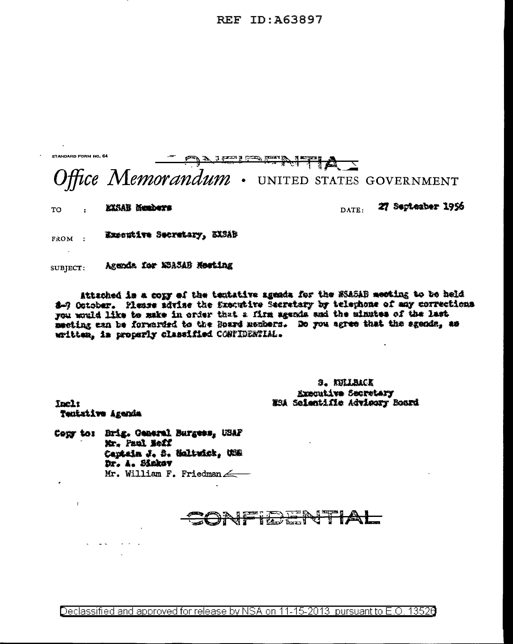REF ID: A63897



Attached is a copy of the tentative agenda for the MSASAB meeting to be held 8-7 October. Please sdrise the Executive Secretary by telephone of any corrections you would like to make in order that a firm agenda and the minutes of the last meeting can be forwarded to the Board mechans. Do you agree that the sgenda, as witten, is properly classified CORFIDERTIAL.

> 9. KULLSACK Kxecutive Secretary NSA Scientific Advicory Board

Incl: Tentative Agenda

 $\mathbf{r}$ 

 $\omega_{\rm{eff}}=2.01$ 

Copy to: Brig. General Burgees, USAF Mr. Paul Boff Captain J. B. Moltuick, USB Dr. A. Sinkey Mr. William F. Friedman

<u>JFILENTIAL</u>

Declassified and approved for release by NSA on 11-15-2013 pursuant to E.O. 13520